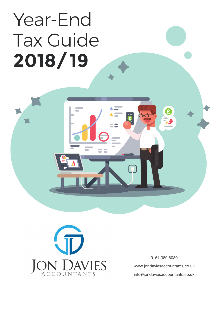# Year-End Tax Guide **2018/19**



0151 380 8089 www.jondaviesaccountants.co.uk info@jondaviesaccountants.co.uk

 $\overline{\mathbf{P}}$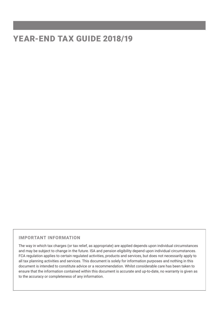### YEAR-END TAX GUIDE 2018/19

#### **IMPORTANT INFORMATION**

The way in which tax charges (or tax relief, as appropriate) are applied depends upon individual circumstances and may be subject to change in the future. ISA and pension eligibility depend upon individual circumstances. FCA regulation applies to certain regulated activities, products and services, but does not necessarily apply to all tax planning activities and services. This document is solely for information purposes and nothing in this document is intended to constitute advice or a recommendation. Whilst considerable care has been taken to ensure that the information contained within this document is accurate and up-to-date, no warranty is given as to the accuracy or completeness of any information.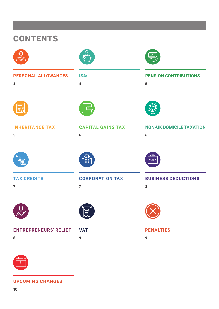### **CONTENTS**



### **PERSONAL ALLOWANCES**

**4**



### **INHERITANCE TAX**

**5**



### **TAX CREDITS**

**7**



### **ENTREPRENEURS' RELIEF**

| 8 |  |  |  |
|---|--|--|--|
|   |  |  |  |



### **UPCOMING CHANGES**







### **CAPITAL GAINS TAX**

**6**



### **CORPORATION TAX**

**7**



### **VAT**

**9**



### **PENSION CONTRIBUTIONS**

**5**



### **NON-UK DOMICILE TAXATION**

**6**



### **BUSINESS DEDUCTIONS**

**8**



### **PENALTIES**

**9**







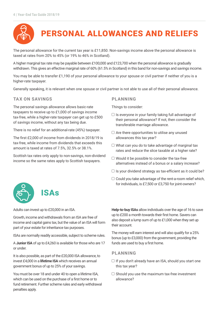

The personal allowance for the current tax year is £11,850. Non-savings income above the personal allowance is taxed at rates from 20% to 45% (or 19% to 46% in Scotland).

A higher marginal tax rate may be payable between £100,000 and £123,700 when the personal allowance is gradually withdrawn. This gives an effective marginal rate of 60% (61.5% in Scotland) in this band for non-savings and savings income.

You may be able to transfer £1,190 of your personal allowance to your spouse or civil partner if neither of you is a higher-rate taxpayer.

Generally speaking, it is relevant when one spouse or civil partner is not able to use all of their personal allowance.

### **TAX ON SAVINGS**

The personal savings allowance allows basic-rate taxpayers to receive up to £1,000 of savings income tax-free, while a higher-rate taxpayer can get up to £500 of savings income, without any tax being due.

There is no relief for an additional-rate (45%) taxpayer.

The first £2,000 of income from dividends in 2018/19 is tax-free, while income from dividends that exceeds this amount is taxed at rates of 7.5%, 32.5% or 38.1%.

Scottish tax rates only apply to non-savings, non-dividend income so the same rates apply to Scottish taxpayers.

### **PLANNING**

Things to consider:

- $\Box$  Is everyone in your family taking full advantage of their personal allowance? If not, then consider the transferable marriage allowance.
- $\Box$  Are there opportunities to utilise any unused allowances this tax year?
- $\Box$  What can you do to take advantage of marginal tax rates and reduce the slice taxable at a higher rate?
- $\Box$  Would it be possible to consider the tax-free alternatives instead of a bonus or a salary increase?
- $\Box$  Is your dividend strategy as tax-efficient as it could be?
- $\Box$  Could you take advantage of the rent-a-room relief which, for individuals, is £7,500 or £3,750 for joint-owners?



Adults can invest up to £20,000 in an ISA.

Growth, income and withdrawals from an ISA are free of income and capital gains tax, but the value of an ISA will form part of your estate for inheritance tax purposes.

ISAs are normally readily accessible, subject to scheme rules.

A **Junior ISA** of up to £4,260 is available for those who are 17 or under.

It is also possible, as part of the £20,000 ISA allowance, to invest £4,000 in a **lifetime ISA** which receives an annual government bonus of up to 25% of your savings.

You must be over 18 and under 40 to open a lifetime ISA, which can be used on the purchase of a first home or to fund retirement. Further scheme rules and early withdrawal penalties apply.

**Help-to-buy ISAs** allow individuals over the age of 16 to save up to £200 a month towards their first home. Savers can also deposit a lump sum of up to £1,000 when they set up their account.

The money will earn interest and will also qualify for a 25% bonus (up to £3,000) from the government, providing the funds are used to buy a first home.

### **PLANNING**

- © If you don't already have an ISA, should you start one this tax year?
- $\Box$  Should you use the maximum tax-free investment allowance?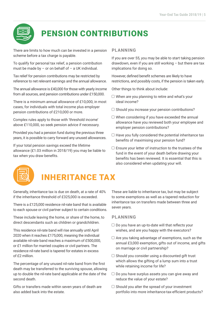

### PENSION CONTRIBUTIONS

There are limits to how much can be invested in a pension scheme before a tax charge is payable.

To qualify for personal tax relief, a pension contribution must be made by  $-$  or on behalf of  $-$  a UK individual.

Tax relief for pension contributions may be restricted by reference to net relevant earnings and the annual allowance.

The annual allowance is £40,000 for those with yearly income from all sources, and pension contributions under £150,000.

There is a minimum annual allowance of £10,000, in most cases, for individuals with total income plus employer pension contributions of £210,000 or more.

Complex rules apply to those with 'threshold income' above £110,000, so seek pension advice if necessary.

Provided you had a pension fund during the previous three years, it is possible to carry forward any unused allowances.

If your total pension savings exceed the lifetime allowance (£1.03 million in 2018/19) you may be liable to tax when you draw benefits.

#### **PLANNING**

If you are over 55, you may be able to start taking pension drawdown, even if you are still working – but there are tax implications for doing so.

However, defined benefit schemes are likely to have restrictions, and possibly costs, if the pension is taken early.

Other things to think about include:

- $\Box$  When are you planning to retire and what's your ideal income?
- $\Box$  Should you increase your pension contributions?
- $\Box$  When considering if you have exceeded the annual allowance have you reviewed both your employee and employer pension contributions?
- $\Box$  Have you fully considered the potential inheritance tax benefits of maximising your pension fund?
- © Ensure your letter of instruction to the trustees of the fund in the event of your death before drawing your benefits has been reviewed. It is essential that this is also considered when updating your will.

### INHERITANCE TAX

Generally, inheritance tax is due on death, at a rate of 40% if the inheritance threshold of £325,000 is exceeded.

There is a £125,000 residence nil-rate band that is available to each spouse or civil partner subject to certain conditions.

These include leaving the home, or share of the home, to direct descendants such as children or grandchildren.

This residence nil-rate band will rise annually until April 2020 when it reaches £175,000, meaning the individual available nil-rate band reaches a maximum of £500,000, or £1 million for married couples or civil partners. The residence nil-rate band is tapered for estates in excess of £2 million.

The percentage of any unused nil-rate band from the first death may be transferred to the surviving spouse, allowing up to double the nil-rate band applicable at the date of the second death.

Gifts or transfers made within seven years of death are also added back into the estate.

These are liable to inheritance tax, but may be subject to some exemptions as well as a tapered reduction for inheritance tax on transfers made between three and seven years.

### **PLANNING**

- $\Box$  Do you have an up-to-date will that reflects your wishes, and are you happy with the executors?
- © Are you taking advantage of exemptions, such as the annual £3,000 exemption, gifts out of income, and gifts on marriage or civil partnership?
- © Should you consider using a discounted gift trust which allows the gifting of a lump sum into a trust while retaining income for life?
- $\Box$  Do you have surplus assets you can give away and reduce the value of your estate?
- $\Box$  Should you alter the spread of your investment portfolio into more inheritance-tax-eficient products?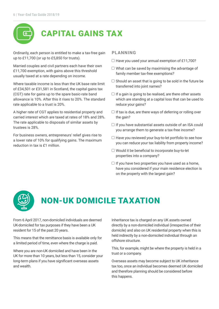### CAPITAL GAINS TAX

Ordinarily, each person is entitled to make a tax-free gain up to £11,700 (or up to £5,850 for trusts).

Married couples and civil partners each have their own £11,700 exemption, with gains above this threshold usually taxed at a rate depending on income.

Where taxable income is less than the UK base rate limit of £34,501 or £31,581 in Scotland, the capital gains tax (CGT) rate for gains up to the spare basic-rate band allowance is 10%. After this it rises to 20%. The standard rate applicable to a trust is 20%.

A higher rate of CGT applies to residential property and carried interest which are taxed at rates of 18% and 28%. The rate applicable to disposals of similar assets by trustees is 28%.

For business owners, entrepreneurs' relief gives rise to a lower rate of 10% for qualifying gains. The maximum reduction in tax is £1 million.

### **PLANNING**

- $\Box$  Have you used your annual exemption of £11,700?
- $\Box$  What can be saved by maximising the advantage of family member tax-free exemptions?
- $\Box$  Should an asset that is going to be sold in the future be transferred into joint names?
- $\Box$  If a gain is going to be realised, are there other assets which are standing at a capital loss that can be used to reduce your gains?
- $\Box$  If tax is due, are there ways of deferring or rolling over the gain?
- © If you have substantial assets outside of an ISA could you arrange them to generate a tax-free income?
- © Have you reviewed your buy-to-let portfolio to see how you can reduce your tax liability from property income?
- $\Box$  Would it be beneficial to incorporate buy-to-let properties into a company?
- $\Box$  If you have two properties you have used as a home, have you considered if your main residence election is on the property with the largest gain?



### NON-UK DOMICILE TAXATION

From 6 April 2017, non-domiciled individuals are deemed UK-domiciled for tax purposes if they have been a UK resident for 15 of the past 20 years.

This means that the remittance basis is available only for a limited period of time, even where the charge is paid.

Where you are non-UK domiciled and have been in the UK for more than 10 years, but less than 15, consider your long-term plans if you have significant overseas assets and wealth.

Inheritance tax is charged on any UK assets owned directly by a non-domiciled individual (irrespective of their domicile) and also on UK residential property when this is held indirectly by a non-domiciled individual through an offshore structure.

This, for example, might be where the property is held in a trust or a company.

Overseas assets may become subject to UK inheritance tax too, once an individual becomes deemed UK domiciled and therefore planning should be considered before this happens.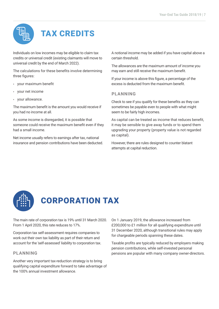# TAX CREDITS

Individuals on low incomes may be eligible to claim tax credits or universal credit (existing claimants will move to universal credit by the end of March 2022).

The calculations for these benefits involve determining three figures:

- your maximum benefit
- your net income
- your allowance.

The maximum benefit is the amount you would receive if you had no income at all.

As some income is disregarded, it is possible that someone could receive the maximum benefit even if they had a small income.

Net income usually refers to earnings after tax, national insurance and pension contributions have been deducted. A notional income may be added if you have capital above a certain threshold.

The allowances are the maximum amount of income you may earn and still receive the maximum benefit.

If your income is above this figure, a percentage of the excess is deducted from the maximum benefit

### **PLANNING**

Check to see if you qualify for these benefits as they can sometimes be payable even to people with what might seem to be fairly high incomes.

As capital can be treated as income that reduces benefit, it may be sensible to give away funds or to spend them upgrading your property (property value is not regarded as capital).

However, there are rules designed to counter blatant attempts at capital reduction.



The main rate of corporation tax is 19% until 31 March 2020. From 1 April 2020, this rate reduces to 17%.

Corporation tax self-assessment requires companies to work out their own tax liability as part of their return and account for the 'self-assessed' liability to corporation tax.

### **PLANNING**

Another very important tax-reduction strategy is to bring qualifying capital expenditure forward to take advantage of the 100% annual investment allowance.

On 1 January 2019, the allowance increased from £200,000 to £1 million for all qualifying expenditure until 31 December 2020, although transitional rules may apply for chargeable periods spanning these dates.

Taxable profits are typically reduced by employers making pension contributions, while self-invested personal pensions are popular with many company owner-directors.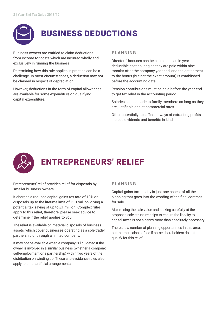

### BUSINESS DEDUCTIONS

Business owners are entitled to claim deductions from income for costs which are incurred wholly and exclusively in running the business.

Determining how this rule applies in practice can be a challenge. In most circumstances, a deduction may not be claimed in respect of depreciation.

However, deductions in the form of capital allowances are available for some expenditure on qualifying capital expenditure.

### **PLANNING**

Directors' bonuses can be claimed as an in-year deductible cost so long as they are paid within nine months after the company year-end, and the entitlement to the bonus (but not the exact amount) is established before the accounting date.

Pension contributions must be paid before the year-end to get tax relief in the accounting period.

Salaries can be made to family members as long as they are justifiable and at commercial rates.

Other potentially tax-efficient ways of extracting profits include dividends and benefits in kind.



### ENTREPRENEURS' RELIEF

Entrepreneurs' relief provides relief for disposals by smaller business owners.

It charges a reduced capital gains tax rate of 10% on disposals up to the lifetime limit of £10 million, giving a potential tax saving of up to £1 million. Complex rules apply to this relief, therefore, please seek advice to determine if the relief applies to you.

The relief is available on material disposals of business assets, which cover businesses operating as a sole trader, partnership or through a limited company.

It may not be available when a company is liquidated if the owner is involved in a similar business (whether a company, self-employment or a partnership) within two years of the distribution on winding up. These anti-avoidance rules also apply to other artificial arrangements.

### **PLANNING**

Capital gains tax liability is just one aspect of all the planning that goes into the wording of the final contract for sale.

Maximising the sale value and looking carefully at the proposed sale structure helps to ensure the liability to capital taxes is not a penny more than absolutely necessary.

There are a number of planning opportunities in this area, but there are also pitfalls if some shareholders do not qualify for this relief.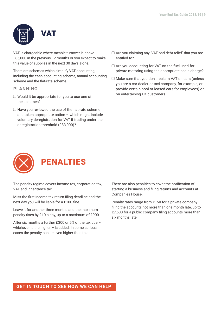

VAT is chargeable where taxable turnover is above £85,000 in the previous 12 months or you expect to make this value of supplies in the next 30 days alone.

There are schemes which simplify VAT accounting, including the cash accounting scheme, annual accounting scheme and the flat-rate scheme.

#### **PLANNING**

- © Would it be appropriate for you to use one of the schemes?
- $\Box$  Have you reviewed the use of the flat-rate scheme and taken appropriate action – which might include voluntary deregistration for VAT if trading under the deregistration threshold (£83,000)?
- © Are you claiming any 'VAT bad debt relief' that you are entitled to?
- © Are you accounting for VAT on the fuel used for private motoring using the appropriate scale charge?
- © Make sure that you don't reclaim VAT on cars (unless you are a car dealer or taxi company, for example, or provide certain pool or leased cars for employees) or on entertaining UK customers.



The penalty regime covers income tax, corporation tax, VAT and inheritance tax.

Miss the first income tax return filing deadline and the next day you will be liable for a £100 fine.

Leave it for another three months and the maximum penalty rises by £10 a day, up to a maximum of £900.

After six months a further £300 or 5% of the tax due – whichever is the higher  $-$  is added. In some serious cases the penalty can be even higher than this.

There are also penalties to cover the notification of starting a business and filing returns and accounts at Companies House.

Penalty rates range from £150 for a private company filing the accounts not more than one month late, up to £7,500 for a public company filing accounts more than six months late.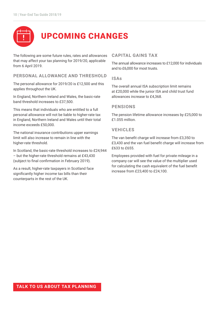

The following are some future rules, rates and allowances that may affect your tax planning for 2019/20, applicable from 6 April 2019.

#### **PERSONAL ALLOWANCE AND THRESHOLD**

The personal allowance for 2019/20 is £12,500 and this applies throughout the UK.

In England, Northern Ireland and Wales, the basic-rate band threshold increases to £37,500.

This means that individuals who are entitled to a full personal allowance will not be liable to higher-rate tax in England, Northern Ireland and Wales until their total income exceeds £50,000.

The national insurance contributions upper earnings limit will also increase to remain in line with the higher-rate threshold.

In Scotland, the basic-rate threshold increases to £24,944 – but the higher-rate threshold remains at £43,430 (subject to final confirmation in February 2019).

As a result, higher-rate taxpayers in Scotland face significantly higher income tax bills than their counterparts in the rest of the UK.

### **CAPITAL GAINS TAX**

The annual allowance increases to £12,000 for individuals and to £6,000 for most trusts.

#### **ISAs**

The overall annual ISA subscription limit remains at £20,000 while the junior ISA and child trust fund allowances increase to £4,368.

#### **PENSIONS**

The pension lifetime allowance increases by £25,000 to £1.055 million.

#### **VEHICLES**

The van benefit charge will increase from £3,350 to £3,430 and the van fuel benefit charge will increase from £633 to £655.

Employees provided with fuel for private mileage in a company car will see the value of the multiplier used for calculating the cash equivalent of the fuel benefit increase from £23,400 to £24,100.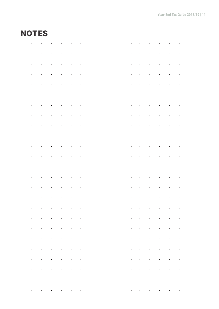### **NOTES**

|                | <b>All Contract</b>                                                                                             |         |                 |                 | $\sim 10$             |                       |                   |                              |                                                                                 |                             |  |                       |                   | the contract of the contract of the contract of the contract of the contract of the contract of                 |                   |             |
|----------------|-----------------------------------------------------------------------------------------------------------------|---------|-----------------|-----------------|-----------------------|-----------------------|-------------------|------------------------------|---------------------------------------------------------------------------------|-----------------------------|--|-----------------------|-------------------|-----------------------------------------------------------------------------------------------------------------|-------------------|-------------|
| $\sim 10^{-1}$ | and a strategic                                                                                                 |         |                 |                 |                       |                       |                   |                              |                                                                                 |                             |  |                       |                   | the contract of the contract of the contract of the contract of the contract of the contract of the             |                   |             |
| $\sim$         | $\sim$                                                                                                          | $\sim$  | $\mathcal{L}$   | $\sim$ 10 $\pm$ | $\sim 100$ km $^{-1}$ | $\sim 100$ km         | <b>Contract</b>   | and the company              |                                                                                 | and the company of the      |  | $\sim 100$ km $^{-1}$ | $\sim 100$        | $\sim 100$ km $^{-1}$                                                                                           | <b>Contract</b>   | $\sim 100$  |
| $\sim 10^{-1}$ | the contract of the contract of the contract of the contract of the contract of the contract of the contract of |         |                 |                 |                       |                       |                   |                              |                                                                                 |                             |  |                       |                   |                                                                                                                 |                   |             |
|                |                                                                                                                 |         |                 |                 |                       |                       |                   |                              |                                                                                 |                             |  |                       |                   |                                                                                                                 |                   |             |
| $\sim 10^{-1}$ | المستنقل والمستنقل والمستنقل والمستنقل والمستنقل والمستنقل والمستنقل والمستنقل والمستنقل والمستنقل              |         |                 |                 |                       |                       |                   |                              |                                                                                 |                             |  |                       |                   |                                                                                                                 |                   |             |
| $\sim 10^{-1}$ | $\sim$                                                                                                          | $\cdot$ | $\sim 100$      | $\sim 10$       | $\sim 100$ km $^{-1}$ | $\sim 100$ km $^{-1}$ | <b>Contractor</b> | and the control of           |                                                                                 | and the control of the con- |  | $\sim 100$            | $\sim 100$        | $\sim$ $\sim$                                                                                                   | <b>Contract</b>   | $\sim 10^7$ |
| $\sim 10^7$    | the contract of the contract of the contract of the contract of the contract of the contract of the contract of |         |                 |                 |                       |                       |                   |                              |                                                                                 |                             |  |                       |                   |                                                                                                                 |                   |             |
| $\sim 10^{-1}$ |                                                                                                                 |         |                 |                 |                       |                       |                   |                              |                                                                                 |                             |  |                       |                   | والمستحقق والمستحقق والمستحق والمستحقق والمستحق والمستحق والمستحق والمستحق والمستحق والمستحق والمستحقق والمستحق |                   |             |
|                |                                                                                                                 |         |                 |                 |                       |                       |                   |                              |                                                                                 |                             |  |                       |                   |                                                                                                                 |                   |             |
| $\sim 10^{-1}$ | $\sim 10^{-1}$                                                                                                  | $\cdot$ | $\sim 100$      | $\sim 10$       | $\sim 100$ km $^{-1}$ | $\sim 10^{11}$ km     |                   | the contract of the contract |                                                                                 | and the control of the con- |  | <b>Contract</b>       | $\sim 100$        | $\sim$ $\sim$                                                                                                   | <b>Contractor</b> | $\sim 100$  |
| $\sim 10^7$    | the contract of the contract of the contract of the contract of the contract of the contract of the contract of |         |                 |                 |                       |                       |                   |                              |                                                                                 |                             |  |                       |                   |                                                                                                                 |                   |             |
| $\sim 10^{-1}$ |                                                                                                                 |         |                 |                 |                       |                       |                   |                              |                                                                                 |                             |  |                       |                   | المستنقل والمستنقل والمستنقل والمستقل والمستنقل والمستنقل والمستنقل والمستنقل والمستنقل والمستنقل               |                   |             |
| $\sim 10^{-1}$ | $\sim$                                                                                                          | $\sim$  | $\sim 100$      | $\sim 10$       | $\sim 100$ km $^{-1}$ | $\sim 100$ km $^{-1}$ |                   |                              | the contract of the contract of the contract of the                             |                             |  | <b>Contractor</b>     | $\sim 100$        | $\sim 100$                                                                                                      | and the control   |             |
| $\sim 10^{-1}$ | the contract of the contract of the contract of the contract of the contract of the contract of the contract of |         |                 |                 |                       |                       |                   |                              |                                                                                 |                             |  |                       |                   |                                                                                                                 |                   |             |
|                |                                                                                                                 |         |                 |                 |                       |                       |                   |                              |                                                                                 |                             |  |                       |                   |                                                                                                                 |                   |             |
| $\sim 10^{-1}$ |                                                                                                                 |         |                 |                 |                       |                       |                   |                              |                                                                                 |                             |  |                       |                   | the contract of the contract of the contract of the contract of the contract of the contract of the contract of |                   |             |
| $\sim 10^{-1}$ | $\sim 10$                                                                                                       | $\sim$  | $\sim 10^{-11}$ |                 |                       |                       |                   |                              | the contract of the contract of the contract of the contract of the contract of |                             |  | <b>Contractor</b>     | <b>Contractor</b> |                                                                                                                 | <b>Contractor</b> | $\sim 100$  |
| $\sim 10^{-1}$ | the company's company's service                                                                                 |         |                 | <b>Contract</b> | and the company       |                       |                   |                              | the contract of the contract of the contract of the                             |                             |  |                       |                   | the contract of the contract of the contract                                                                    |                   |             |
|                | والمستنقص والمستقيل والمستقيل والمستقيل والمستنقص والمستقيل والمستقيل والمستقيل والمستقيل والمستقيل والمستقيل   |         |                 |                 |                       |                       |                   |                              |                                                                                 |                             |  |                       |                   |                                                                                                                 |                   |             |
|                | والمستحدث والمستحدث والمستحدث والمستحدث والمستحدث والمستحدث والمستحدث والمستحدث والمستحدث والمستحدث             |         |                 |                 |                       |                       |                   |                              |                                                                                 |                             |  |                       |                   |                                                                                                                 |                   |             |
|                |                                                                                                                 |         |                 |                 |                       |                       |                   |                              |                                                                                 |                             |  |                       |                   |                                                                                                                 |                   |             |
|                | الموارد والمستحقق والمستحقق والمستحقق والمستحقق والمستحقق والمستحقق والمستحقق والمستحقق والمستحقق والمستحقق     |         |                 |                 |                       |                       |                   |                              |                                                                                 |                             |  |                       |                   |                                                                                                                 |                   |             |
|                | الموارد والمستحقق والمستحق والمستحقق والمستحقق والمستحقق والمستحق والمستحق والمستحق والمستحق والمستحقق والمستحق |         |                 |                 |                       |                       |                   |                              |                                                                                 |                             |  |                       |                   |                                                                                                                 |                   |             |
|                | الموارد والمستحقق والمستحقق والمستحقق والمستحقق والمستحقق والمستحقق والمستحقق والمستحقق والمستحقق والمستحقق     |         |                 |                 |                       |                       |                   |                              |                                                                                 |                             |  |                       |                   |                                                                                                                 |                   |             |
|                | والمستنقص والمستقيل والمستنقص والمستنقص والمستنقص والمستنقص والمستنقص والمستنقص والمستنقص والمستنقص             |         |                 |                 |                       |                       |                   |                              |                                                                                 |                             |  |                       |                   |                                                                                                                 |                   |             |
|                |                                                                                                                 |         |                 |                 |                       |                       |                   |                              |                                                                                 |                             |  |                       |                   |                                                                                                                 |                   |             |
|                | والمستنقص والمستقر والمستنقص والمستنقي والمستنقص والمستنق والمستنقص والمستنقص والمستنقص والمستنقص               |         |                 |                 |                       |                       |                   |                              |                                                                                 |                             |  |                       |                   |                                                                                                                 |                   |             |
|                | المعارض والمتعارض والمستحيل والمستحيل والمستحيل والمتعارض والمتعارض والمتعارض والمتعارض والمستحيل               |         |                 |                 |                       |                       |                   |                              |                                                                                 |                             |  |                       |                   |                                                                                                                 |                   |             |
|                |                                                                                                                 |         |                 |                 |                       |                       |                   |                              |                                                                                 |                             |  |                       |                   | and the contract of the contract of the contract of the contract of the contract of the contract of             |                   |             |